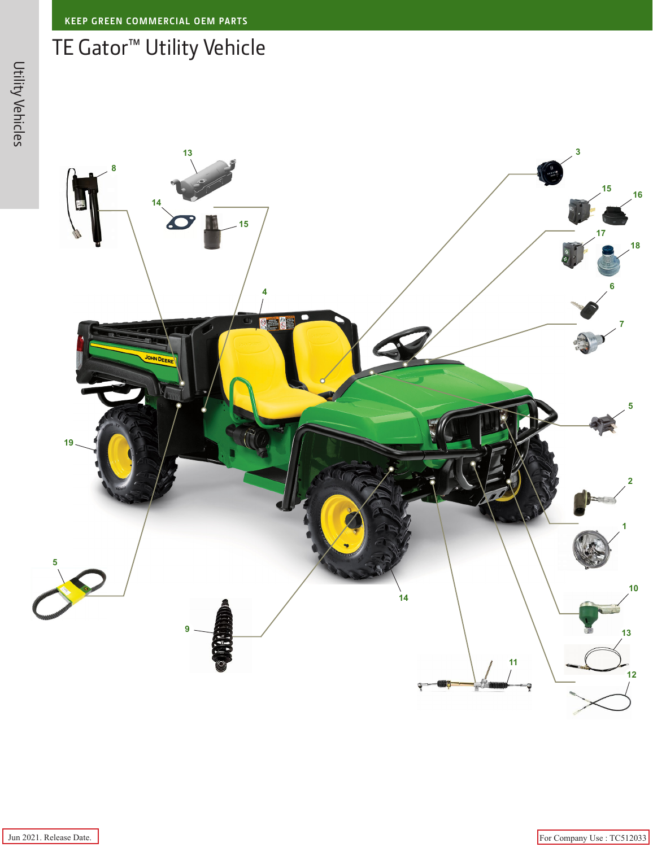## **KEEP GREEN COMMERCIAL OEM PARTS**

## TE Gator™ Utility Vehicle